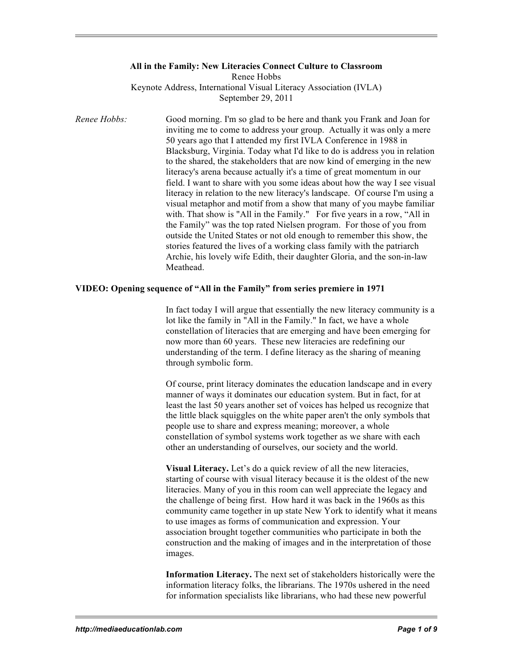## **All in the Family: New Literacies Connect Culture to Classroom**

Renee Hobbs

Keynote Address, International Visual Literacy Association (IVLA) September 29, 2011

*Renee Hobbs:* Good morning. I'm so glad to be here and thank you Frank and Joan for inviting me to come to address your group. Actually it was only a mere 50 years ago that I attended my first IVLA Conference in 1988 in Blacksburg, Virginia. Today what I'd like to do is address you in relation to the shared, the stakeholders that are now kind of emerging in the new literacy's arena because actually it's a time of great momentum in our field. I want to share with you some ideas about how the way I see visual literacy in relation to the new literacy's landscape. Of course I'm using a visual metaphor and motif from a show that many of you maybe familiar with. That show is "All in the Family." For five years in a row, "All in the Family" was the top rated Nielsen program. For those of you from outside the United States or not old enough to remember this show, the stories featured the lives of a working class family with the patriarch Archie, his lovely wife Edith, their daughter Gloria, and the son-in-law Meathead.

## **VIDEO: Opening sequence of "All in the Family" from series premiere in 1971**

In fact today I will argue that essentially the new literacy community is a lot like the family in "All in the Family." In fact, we have a whole constellation of literacies that are emerging and have been emerging for now more than 60 years. These new literacies are redefining our understanding of the term. I define literacy as the sharing of meaning through symbolic form.

Of course, print literacy dominates the education landscape and in every manner of ways it dominates our education system. But in fact, for at least the last 50 years another set of voices has helped us recognize that the little black squiggles on the white paper aren't the only symbols that people use to share and express meaning; moreover, a whole constellation of symbol systems work together as we share with each other an understanding of ourselves, our society and the world.

**Visual Literacy.** Let's do a quick review of all the new literacies, starting of course with visual literacy because it is the oldest of the new literacies. Many of you in this room can well appreciate the legacy and the challenge of being first. How hard it was back in the 1960s as this community came together in up state New York to identify what it means to use images as forms of communication and expression. Your association brought together communities who participate in both the construction and the making of images and in the interpretation of those images.

**Information Literacy.** The next set of stakeholders historically were the information literacy folks, the librarians. The 1970s ushered in the need for information specialists like librarians, who had these new powerful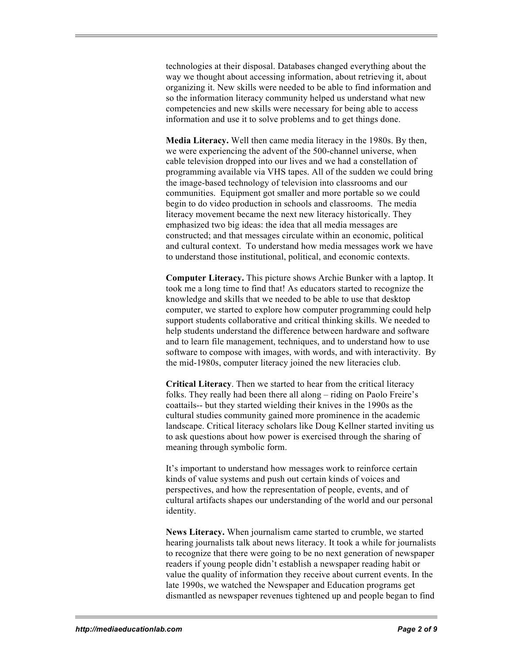technologies at their disposal. Databases changed everything about the way we thought about accessing information, about retrieving it, about organizing it. New skills were needed to be able to find information and so the information literacy community helped us understand what new competencies and new skills were necessary for being able to access information and use it to solve problems and to get things done.

**Media Literacy.** Well then came media literacy in the 1980s. By then, we were experiencing the advent of the 500-channel universe, when cable television dropped into our lives and we had a constellation of programming available via VHS tapes. All of the sudden we could bring the image-based technology of television into classrooms and our communities. Equipment got smaller and more portable so we could begin to do video production in schools and classrooms. The media literacy movement became the next new literacy historically. They emphasized two big ideas: the idea that all media messages are constructed; and that messages circulate within an economic, political and cultural context. To understand how media messages work we have to understand those institutional, political, and economic contexts.

**Computer Literacy.** This picture shows Archie Bunker with a laptop. It took me a long time to find that! As educators started to recognize the knowledge and skills that we needed to be able to use that desktop computer, we started to explore how computer programming could help support students collaborative and critical thinking skills. We needed to help students understand the difference between hardware and software and to learn file management, techniques, and to understand how to use software to compose with images, with words, and with interactivity. By the mid-1980s, computer literacy joined the new literacies club.

**Critical Literacy**. Then we started to hear from the critical literacy folks. They really had been there all along – riding on Paolo Freire's coattails-- but they started wielding their knives in the 1990s as the cultural studies community gained more prominence in the academic landscape. Critical literacy scholars like Doug Kellner started inviting us to ask questions about how power is exercised through the sharing of meaning through symbolic form.

It's important to understand how messages work to reinforce certain kinds of value systems and push out certain kinds of voices and perspectives, and how the representation of people, events, and of cultural artifacts shapes our understanding of the world and our personal identity.

**News Literacy.** When journalism came started to crumble, we started hearing journalists talk about news literacy. It took a while for journalists to recognize that there were going to be no next generation of newspaper readers if young people didn't establish a newspaper reading habit or value the quality of information they receive about current events. In the late 1990s, we watched the Newspaper and Education programs get dismantled as newspaper revenues tightened up and people began to find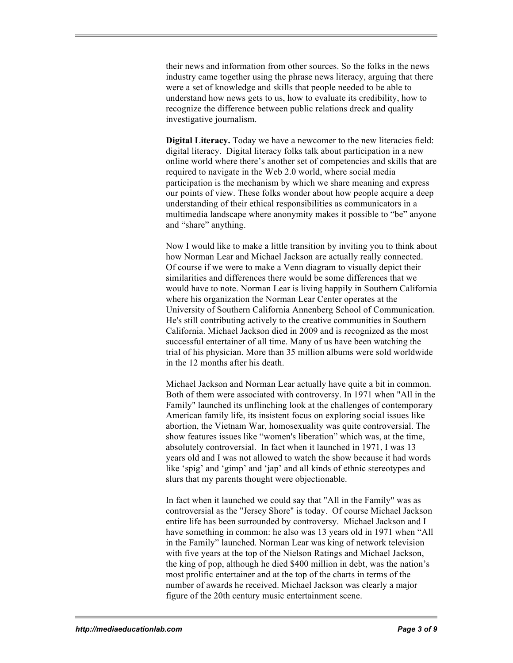their news and information from other sources. So the folks in the news industry came together using the phrase news literacy, arguing that there were a set of knowledge and skills that people needed to be able to understand how news gets to us, how to evaluate its credibility, how to recognize the difference between public relations dreck and quality investigative journalism.

**Digital Literacy.** Today we have a newcomer to the new literacies field: digital literacy. Digital literacy folks talk about participation in a new online world where there's another set of competencies and skills that are required to navigate in the Web 2.0 world, where social media participation is the mechanism by which we share meaning and express our points of view. These folks wonder about how people acquire a deep understanding of their ethical responsibilities as communicators in a multimedia landscape where anonymity makes it possible to "be" anyone and "share" anything.

Now I would like to make a little transition by inviting you to think about how Norman Lear and Michael Jackson are actually really connected. Of course if we were to make a Venn diagram to visually depict their similarities and differences there would be some differences that we would have to note. Norman Lear is living happily in Southern California where his organization the Norman Lear Center operates at the University of Southern California Annenberg School of Communication. He's still contributing actively to the creative communities in Southern California. Michael Jackson died in 2009 and is recognized as the most successful entertainer of all time. Many of us have been watching the trial of his physician. More than 35 million albums were sold worldwide in the 12 months after his death.

Michael Jackson and Norman Lear actually have quite a bit in common. Both of them were associated with controversy. In 1971 when "All in the Family" launched its unflinching look at the challenges of contemporary American family life, its insistent focus on exploring social issues like abortion, the Vietnam War, homosexuality was quite controversial. The show features issues like "women's liberation" which was, at the time, absolutely controversial. In fact when it launched in 1971, I was 13 years old and I was not allowed to watch the show because it had words like 'spig' and 'gimp' and 'jap' and all kinds of ethnic stereotypes and slurs that my parents thought were objectionable.

In fact when it launched we could say that "All in the Family" was as controversial as the "Jersey Shore" is today. Of course Michael Jackson entire life has been surrounded by controversy. Michael Jackson and I have something in common: he also was 13 years old in 1971 when "All in the Family" launched. Norman Lear was king of network television with five years at the top of the Nielson Ratings and Michael Jackson, the king of pop, although he died \$400 million in debt, was the nation's most prolific entertainer and at the top of the charts in terms of the number of awards he received. Michael Jackson was clearly a major figure of the 20th century music entertainment scene.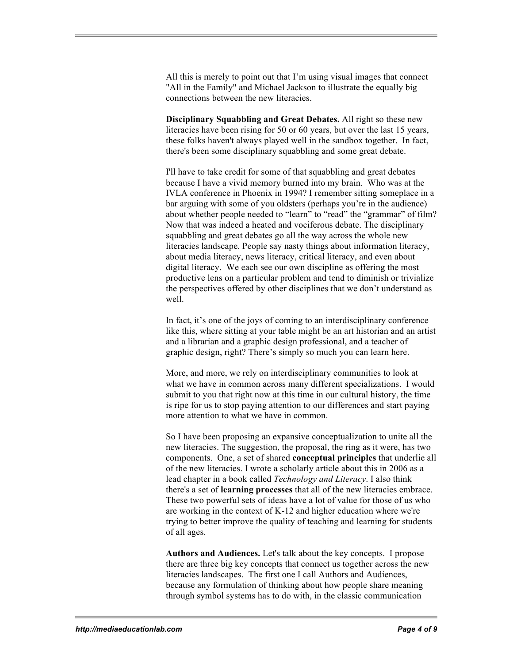All this is merely to point out that I'm using visual images that connect "All in the Family" and Michael Jackson to illustrate the equally big connections between the new literacies.

**Disciplinary Squabbling and Great Debates.** All right so these new literacies have been rising for 50 or 60 years, but over the last 15 years, these folks haven't always played well in the sandbox together. In fact, there's been some disciplinary squabbling and some great debate.

I'll have to take credit for some of that squabbling and great debates because I have a vivid memory burned into my brain. Who was at the IVLA conference in Phoenix in 1994? I remember sitting someplace in a bar arguing with some of you oldsters (perhaps you're in the audience) about whether people needed to "learn" to "read" the "grammar" of film? Now that was indeed a heated and vociferous debate. The disciplinary squabbling and great debates go all the way across the whole new literacies landscape. People say nasty things about information literacy, about media literacy, news literacy, critical literacy, and even about digital literacy. We each see our own discipline as offering the most productive lens on a particular problem and tend to diminish or trivialize the perspectives offered by other disciplines that we don't understand as well.

In fact, it's one of the joys of coming to an interdisciplinary conference like this, where sitting at your table might be an art historian and an artist and a librarian and a graphic design professional, and a teacher of graphic design, right? There's simply so much you can learn here.

More, and more, we rely on interdisciplinary communities to look at what we have in common across many different specializations. I would submit to you that right now at this time in our cultural history, the time is ripe for us to stop paying attention to our differences and start paying more attention to what we have in common.

So I have been proposing an expansive conceptualization to unite all the new literacies. The suggestion, the proposal, the ring as it were, has two components. One, a set of shared **conceptual principles** that underlie all of the new literacies. I wrote a scholarly article about this in 2006 as a lead chapter in a book called *Technology and Literacy*. I also think there's a set of **learning processes** that all of the new literacies embrace. These two powerful sets of ideas have a lot of value for those of us who are working in the context of K-12 and higher education where we're trying to better improve the quality of teaching and learning for students of all ages.

**Authors and Audiences.** Let's talk about the key concepts. I propose there are three big key concepts that connect us together across the new literacies landscapes. The first one I call Authors and Audiences, because any formulation of thinking about how people share meaning through symbol systems has to do with, in the classic communication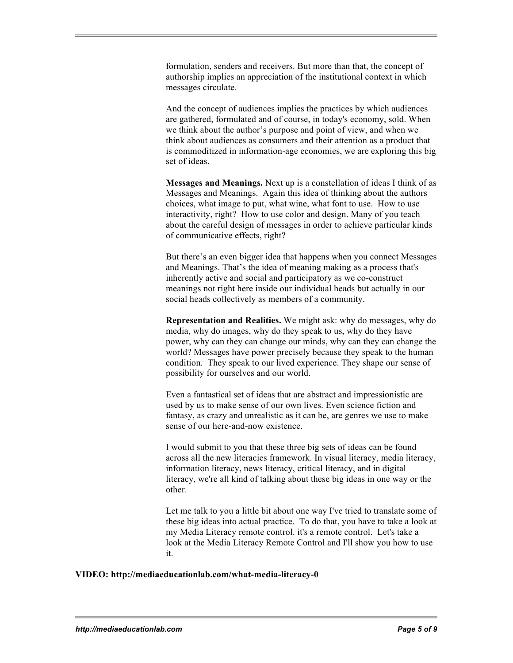formulation, senders and receivers. But more than that, the concept of authorship implies an appreciation of the institutional context in which messages circulate.

And the concept of audiences implies the practices by which audiences are gathered, formulated and of course, in today's economy, sold. When we think about the author's purpose and point of view, and when we think about audiences as consumers and their attention as a product that is commoditized in information-age economies, we are exploring this big set of ideas.

**Messages and Meanings.** Next up is a constellation of ideas I think of as Messages and Meanings. Again this idea of thinking about the authors choices, what image to put, what wine, what font to use. How to use interactivity, right? How to use color and design. Many of you teach about the careful design of messages in order to achieve particular kinds of communicative effects, right?

But there's an even bigger idea that happens when you connect Messages and Meanings. That's the idea of meaning making as a process that's inherently active and social and participatory as we co-construct meanings not right here inside our individual heads but actually in our social heads collectively as members of a community.

**Representation and Realities.** We might ask: why do messages, why do media, why do images, why do they speak to us, why do they have power, why can they can change our minds, why can they can change the world? Messages have power precisely because they speak to the human condition. They speak to our lived experience. They shape our sense of possibility for ourselves and our world.

Even a fantastical set of ideas that are abstract and impressionistic are used by us to make sense of our own lives. Even science fiction and fantasy, as crazy and unrealistic as it can be, are genres we use to make sense of our here-and-now existence.

I would submit to you that these three big sets of ideas can be found across all the new literacies framework. In visual literacy, media literacy, information literacy, news literacy, critical literacy, and in digital literacy, we're all kind of talking about these big ideas in one way or the other.

Let me talk to you a little bit about one way I've tried to translate some of these big ideas into actual practice. To do that, you have to take a look at my Media Literacy remote control. it's a remote control. Let's take a look at the Media Literacy Remote Control and I'll show you how to use it.

## **VIDEO: http://mediaeducationlab.com/what-media-literacy-0**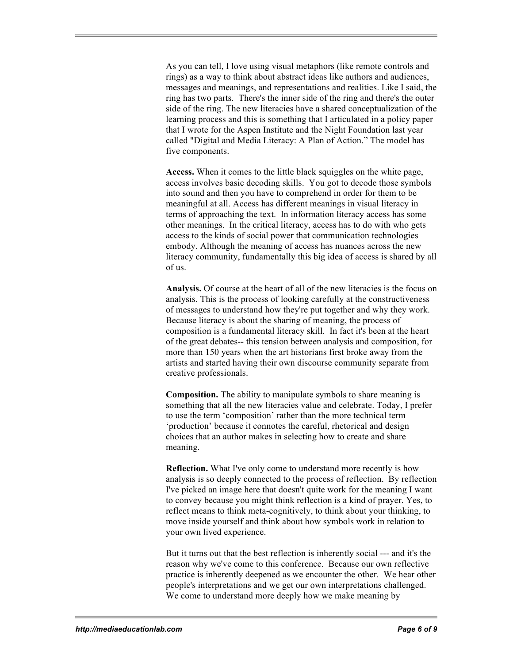As you can tell, I love using visual metaphors (like remote controls and rings) as a way to think about abstract ideas like authors and audiences, messages and meanings, and representations and realities. Like I said, the ring has two parts. There's the inner side of the ring and there's the outer side of the ring. The new literacies have a shared conceptualization of the learning process and this is something that I articulated in a policy paper that I wrote for the Aspen Institute and the Night Foundation last year called "Digital and Media Literacy: A Plan of Action." The model has five components.

**Access.** When it comes to the little black squiggles on the white page, access involves basic decoding skills. You got to decode those symbols into sound and then you have to comprehend in order for them to be meaningful at all. Access has different meanings in visual literacy in terms of approaching the text. In information literacy access has some other meanings. In the critical literacy, access has to do with who gets access to the kinds of social power that communication technologies embody. Although the meaning of access has nuances across the new literacy community, fundamentally this big idea of access is shared by all of us.

**Analysis.** Of course at the heart of all of the new literacies is the focus on analysis. This is the process of looking carefully at the constructiveness of messages to understand how they're put together and why they work. Because literacy is about the sharing of meaning, the process of composition is a fundamental literacy skill. In fact it's been at the heart of the great debates-- this tension between analysis and composition, for more than 150 years when the art historians first broke away from the artists and started having their own discourse community separate from creative professionals.

**Composition.** The ability to manipulate symbols to share meaning is something that all the new literacies value and celebrate. Today, I prefer to use the term 'composition' rather than the more technical term 'production' because it connotes the careful, rhetorical and design choices that an author makes in selecting how to create and share meaning.

**Reflection.** What I've only come to understand more recently is how analysis is so deeply connected to the process of reflection. By reflection I've picked an image here that doesn't quite work for the meaning I want to convey because you might think reflection is a kind of prayer. Yes, to reflect means to think meta-cognitively, to think about your thinking, to move inside yourself and think about how symbols work in relation to your own lived experience.

But it turns out that the best reflection is inherently social --- and it's the reason why we've come to this conference. Because our own reflective practice is inherently deepened as we encounter the other. We hear other people's interpretations and we get our own interpretations challenged. We come to understand more deeply how we make meaning by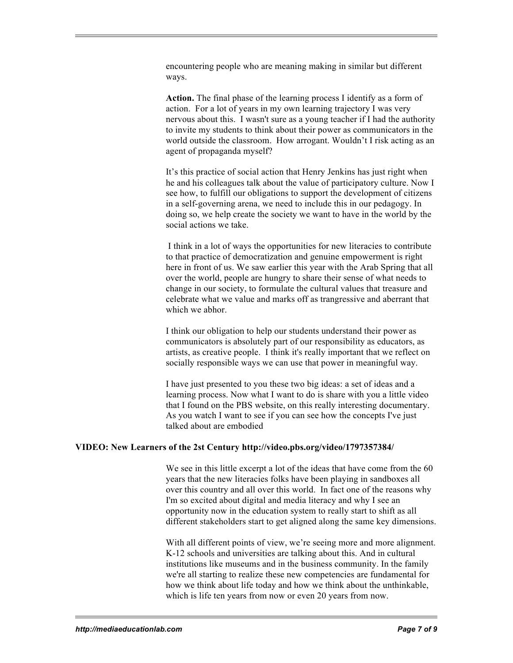encountering people who are meaning making in similar but different ways.

**Action.** The final phase of the learning process I identify as a form of action. For a lot of years in my own learning trajectory I was very nervous about this. I wasn't sure as a young teacher if I had the authority to invite my students to think about their power as communicators in the world outside the classroom. How arrogant. Wouldn't I risk acting as an agent of propaganda myself?

It's this practice of social action that Henry Jenkins has just right when he and his colleagues talk about the value of participatory culture. Now I see how, to fulfill our obligations to support the development of citizens in a self-governing arena, we need to include this in our pedagogy. In doing so, we help create the society we want to have in the world by the social actions we take.

I think in a lot of ways the opportunities for new literacies to contribute to that practice of democratization and genuine empowerment is right here in front of us. We saw earlier this year with the Arab Spring that all over the world, people are hungry to share their sense of what needs to change in our society, to formulate the cultural values that treasure and celebrate what we value and marks off as trangressive and aberrant that which we abhor.

I think our obligation to help our students understand their power as communicators is absolutely part of our responsibility as educators, as artists, as creative people. I think it's really important that we reflect on socially responsible ways we can use that power in meaningful way.

I have just presented to you these two big ideas: a set of ideas and a learning process. Now what I want to do is share with you a little video that I found on the PBS website, on this really interesting documentary. As you watch I want to see if you can see how the concepts I've just talked about are embodied

## **VIDEO: New Learners of the 2st Century http://video.pbs.org/video/1797357384/**

We see in this little excerpt a lot of the ideas that have come from the 60 years that the new literacies folks have been playing in sandboxes all over this country and all over this world. In fact one of the reasons why I'm so excited about digital and media literacy and why I see an opportunity now in the education system to really start to shift as all different stakeholders start to get aligned along the same key dimensions.

With all different points of view, we're seeing more and more alignment. K-12 schools and universities are talking about this. And in cultural institutions like museums and in the business community. In the family we're all starting to realize these new competencies are fundamental for how we think about life today and how we think about the unthinkable, which is life ten years from now or even 20 years from now.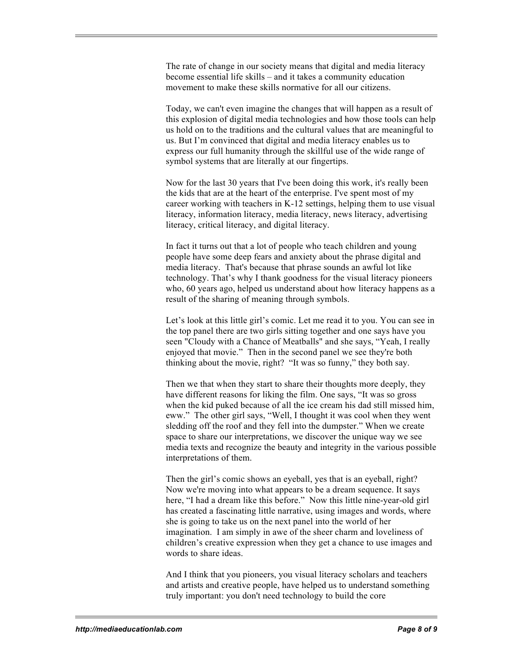The rate of change in our society means that digital and media literacy become essential life skills – and it takes a community education movement to make these skills normative for all our citizens.

Today, we can't even imagine the changes that will happen as a result of this explosion of digital media technologies and how those tools can help us hold on to the traditions and the cultural values that are meaningful to us. But I'm convinced that digital and media literacy enables us to express our full humanity through the skillful use of the wide range of symbol systems that are literally at our fingertips.

Now for the last 30 years that I've been doing this work, it's really been the kids that are at the heart of the enterprise. I've spent most of my career working with teachers in K-12 settings, helping them to use visual literacy, information literacy, media literacy, news literacy, advertising literacy, critical literacy, and digital literacy.

In fact it turns out that a lot of people who teach children and young people have some deep fears and anxiety about the phrase digital and media literacy. That's because that phrase sounds an awful lot like technology. That's why I thank goodness for the visual literacy pioneers who, 60 years ago, helped us understand about how literacy happens as a result of the sharing of meaning through symbols.

Let's look at this little girl's comic. Let me read it to you. You can see in the top panel there are two girls sitting together and one says have you seen "Cloudy with a Chance of Meatballs" and she says, "Yeah, I really enjoyed that movie." Then in the second panel we see they're both thinking about the movie, right? "It was so funny," they both say.

Then we that when they start to share their thoughts more deeply, they have different reasons for liking the film. One says, "It was so gross when the kid puked because of all the ice cream his dad still missed him, eww." The other girl says, "Well, I thought it was cool when they went sledding off the roof and they fell into the dumpster." When we create space to share our interpretations, we discover the unique way we see media texts and recognize the beauty and integrity in the various possible interpretations of them.

Then the girl's comic shows an eyeball, yes that is an eyeball, right? Now we're moving into what appears to be a dream sequence. It says here, "I had a dream like this before." Now this little nine-year-old girl has created a fascinating little narrative, using images and words, where she is going to take us on the next panel into the world of her imagination. I am simply in awe of the sheer charm and loveliness of children's creative expression when they get a chance to use images and words to share ideas.

And I think that you pioneers, you visual literacy scholars and teachers and artists and creative people, have helped us to understand something truly important: you don't need technology to build the core